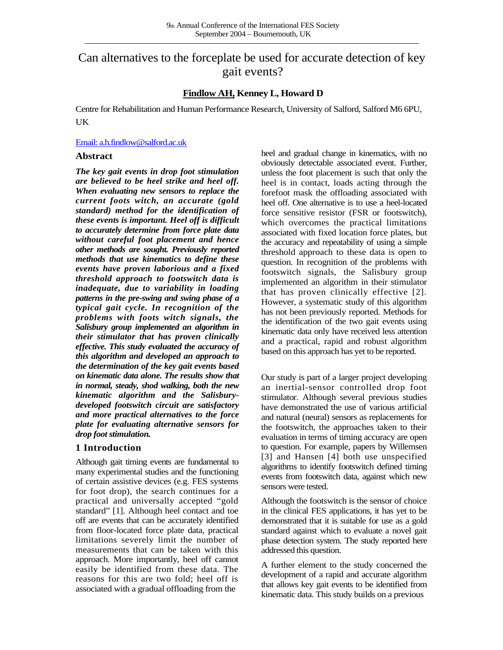# Can alternatives to the forceplate be used for accurate detection of key gait events?

## **Findlow AH, Kenney L, Howard D**

Centre for Rehabilitation and Human Performance Research, University of Salford, Salford M6 6PU, **UK** 

#### [Email: a.h.findlow@salford.ac.uk](mailto:a.h.findlow@salford.ac.uk)

#### **Abstract**

*The key gait events in drop foot stimulation are believed to be heel strike and heel off. When evaluating new sensors to replace the current foots witch, an accurate (gold standard) method for the identification of these events is important. Heel off is difficult to accurately determine from force plate data without careful foot placement and hence other methods are sought. Previously reported methods that use kinematics to define these events have proven laborious and a fixed threshold approach to footswitch data is inadequate, due to variability in loading patterns in the pre-swing and swing phase of a typical gait cycle. In recognition of the problems with foots witch signals, the Salisbury group implemented an algorithm in their stimulator that has proven clinically effective. This study evaluated the accuracy of this algorithm and developed an approach to the determination of the key gait events based on kinematic data alone. The results show that in normal, steady, shod walking, both the new kinematic algorithm and the Salisburydeveloped footswitch circuit are satisfactory and more practical alternatives to the force plate for evaluating alternative sensors for drop foot stimulation.*

#### **1 Introduction**

Although gait timing events are fundamental to many experimental studies and the functioning of certain assistive devices (e.g. FES systems for foot drop), the search continues for a practical and universally accepted "gold standard" [1]. Although heel contact and toe off are events that can be accurately identified from floor-located force plate data, practical limitations severely limit the number of measurements that can be taken with this approach. More importantly, heel off cannot easily be identified from these data. The reasons for this are two fold; heel off is associated with a gradual offloading from the

heel and gradual change in kinematics, with no obviously detectable associated event. Further, unless the foot placement is such that only the heel is in contact, loads acting through the forefoot mask the offloading associated with heel off. One alternative is to use a heel-located force sensitive resistor (FSR or footswitch), which overcomes the practical limitations associated with fixed location force plates, but the accuracy and repeatability of using a simple threshold approach to these data is open to question. In recognition of the problems with footswitch signals, the Salisbury group implemented an algorithm in their stimulator that has proven clinically effective [2]. However, a systematic study of this algorithm has not been previously reported. Methods for the identification of the two gait events using kinematic data only have received less attention and a practical, rapid and robust algorithm based on this approach has yet to be reported.

Our study is part of a larger project developing an inertial-sensor controlled drop foot stimulator. Although several previous studies have demonstrated the use of various artificial and natural (neural) sensors as replacements for the footswitch, the approaches taken to their evaluation in terms of timing accuracy are open to question. For example, papers by Willemsen [3] and Hansen [4] both use unspecified algorithms to identify footswitch defined timing events from footswitch data, against which new sensors were tested.

Although the footswitch is the sensor of choice in the clinical FES applications, it has yet to be demonstrated that it is suitable for use as a gold standard against which to evaluate a novel gait phase detection system. The study reported here addressed this question.

A further element to the study concerned the development of a rapid and accurate algorithm that allows key gait events to be identified from kinematic data. This study builds on a previous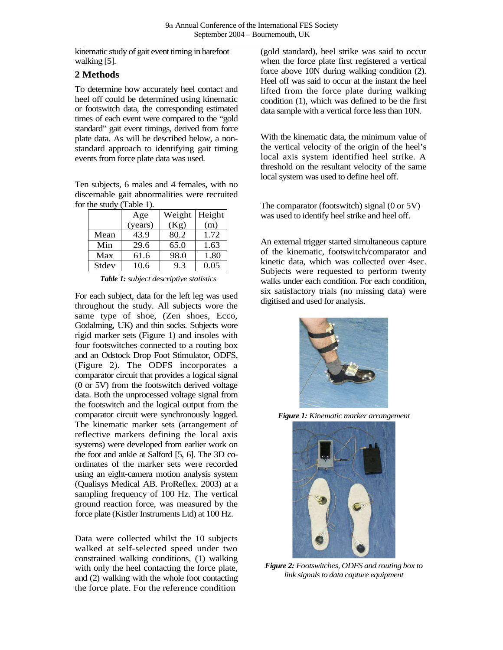kinematic study of gait event timing in barefoot walking [5].

## **2 Methods**

To determine how accurately heel contact and heel off could be determined using kinematic or footswitch data, the corresponding estimated times of each event were compared to the "gold standard" gait event timings, derived from force plate data. As will be described below, a nonstandard approach to identifying gait timing events from force plate data was used.

Ten subjects, 6 males and 4 females, with no discernable gait abnormalities were recruited for the study (Table 1).

|       | Age     | Weight   Height |      |
|-------|---------|-----------------|------|
|       | (years) | (Kg)            | (m)  |
| Mean  | 43.9    | 80.2            | 1.72 |
| Min   | 29.6    | 65.0            | 1.63 |
| Max   | 61.6    | 98.0            | 1.80 |
| Stdev | 10.6    | 9.3             | 0.05 |

*Table 1: subject descriptive statistics*

For each subject, data for the left leg was used throughout the study. All subjects wore the same type of shoe, (Zen shoes, Ecco, Godalming, UK) and thin socks. Subjects wore rigid marker sets (Figure 1) and insoles with four footswitches connected to a routing box and an Odstock Drop Foot Stimulator, ODFS, (Figure 2). The ODFS incorporates a comparator circuit that provides a logical signal (0 or 5V) from the footswitch derived voltage data. Both the unprocessed voltage signal from the footswitch and the logical output from the comparator circuit were synchronously logged. The kinematic marker sets (arrangement of reflective markers defining the local axis systems) were developed from earlier work on the foot and ankle at Salford [5, 6]. The 3D coordinates of the marker sets were recorded using an eight-camera motion analysis system (Qualisys Medical AB. ProReflex. 2003) at a sampling frequency of 100 Hz. The vertical ground reaction force, was measured by the force plate (Kistler Instruments Ltd) at 100 Hz.

Data were collected whilst the 10 subjects walked at self-selected speed under two constrained walking conditions, (1) walking with only the heel contacting the force plate, and (2) walking with the whole foot contacting the force plate. For the reference condition

(gold standard), heel strike was said to occur when the force plate first registered a vertical force above 10N during walking condition (2). Heel off was said to occur at the instant the heel lifted from the force plate during walking condition (1), which was defined to be the first data sample with a vertical force less than 10N.

With the kinematic data, the minimum value of the vertical velocity of the origin of the heel's local axis system identified heel strike. A threshold on the resultant velocity of the same local system was used to define heel off.

The comparator (footswitch) signal (0 or 5V) was used to identify heel strike and heel off.

An external trigger started simultaneous capture of the kinematic, footswitch/comparator and kinetic data, which was collected over 4sec. Subjects were requested to perform twenty walks under each condition. For each condition, six satisfactory trials (no missing data) were digitised and used for analysis.



*Figure 1: Kinematic marker arrangement*



*Figure 2: Footswitches, ODFS and routing box to link signals to data capture equipment*